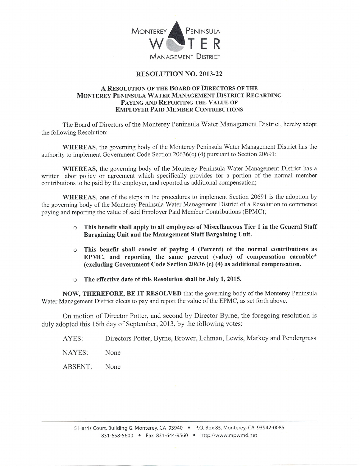

## RESOLUTION NO. 2OI3-22

## A RESOLUTION OF THE BOARD OF DIRECTORS OF THE MONTEREY PENINSULA WATER MANAGEMENT DISTRICT REGARDING PAYING AND REPORTING THE VALUE OF **EMPLOYER PAID MEMBER CONTRIBUTIONS**

The Board of Directors of the Monterey Peninsula Water Management District, hereby adopt the following Resolution:

WHEREAS, the governing body of the Monterey Peninsula Water Management District has the authority to implement Government Code Section20636(c) (4) pursuant to Section 2069I;

WHEREAS, the governing body of the Monterey Peninsula Water Management District has <sup>a</sup> written labor policy or agreement which specifically provides for a portion of the normal mernber contributions to be paid by the employer, and reported as additional compensation;

WHEREAS, one of the steps in the procedures to implement Section 20691 is the adoption by the governing body of the Monterey Peninsula Water Management District of a Resolution to commence paying and reporting the value of said Employer Paid Member Contributions (EPMC);

- o This benefit shall apply to all employees of Miscellaneous Tier I in the General Staff Bargaining Unit and the Management Staff Bargaining Unit.
- $\circ$  This benefit shall consist of paying 4 (Percent) of the normal contributions as EPMC, and reporting the same percent (value) of compensation earnable\* (excluding Government Code Section 20636 (c) (4) as additional compensation.
- The effective date of this Resolution shall be July 1, 2015.

NOW, THEREFORE, BE IT RESOLVED that the governing body of the Monterey Peninsula Water Management District elects to pay and report the value of the EPMC, as set forth above.

On motion of Director Potter, and second by Director Byrne, the foregoing resolution is duly adopted this 16th day of September, 2013, by the following votes:

AYES: Directors Potter, Byme, Brower, Lehman, Lewis, Markey and Pendergrass

NAYES: None

ABSENT: None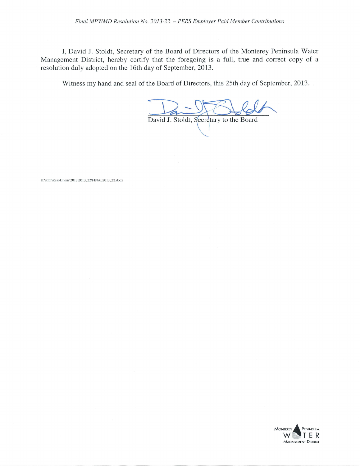I, David J. Stoldt, Secretary of the Board of Directors of the Monterey Peninsula Water Management District, hereby certify that the foregoing is a full, true and correct copy of <sup>a</sup> resolution duly adopted on the 16th day of September, 2013.

Witness my hand and seal of the Board of Directors, this 25th day of September, 2013.

David J. Stoldt, Secretary to the Board

U:\staff\Resolutions\2013\2013\_22\FINAL2013\_22.docx